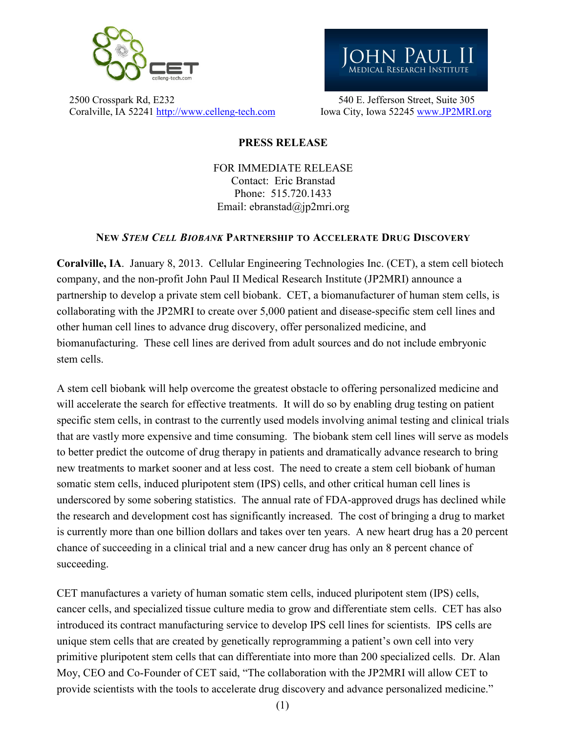

2500 Crosspark Rd, E232 540 E. Jefferson Street, Suite 305 Coralville, IA 52241 http://www.celleng-tech.com Iowa City, Iowa 52245 www.JP2MRI.org



## PRESS RELEASE

FOR IMMEDIATE RELEASE Contact: Eric Branstad Phone: 515.720.1433 Email: ebranstad@jp2mri.org

## NEW *Stem Cell Biobank* Partnership to Accelerate Drug Discovery

Coralville, IA. January 8, 2013. Cellular Engineering Technologies Inc. (CET), a stem cell biotech company, and the non-profit John Paul II Medical Research Institute (JP2MRI) announce a partnership to develop a private stem cell biobank. CET, a biomanufacturer of human stem cells, is collaborating with the JP2MRI to create over 5,000 patient and disease-specific stem cell lines and other human cell lines to advance drug discovery, offer personalized medicine, and biomanufacturing. These cell lines are derived from adult sources and do not include embryonic stem cells.

A stem cell biobank will help overcome the greatest obstacle to offering personalized medicine and will accelerate the search for effective treatments. It will do so by enabling drug testing on patient specific stem cells, in contrast to the currently used models involving animal testing and clinical trials that are vastly more expensive and time consuming. The biobank stem cell lines will serve as models to better predict the outcome of drug therapy in patients and dramatically advance research to bring new treatments to market sooner and at less cost. The need to create a stem cell biobank of human somatic stem cells, induced pluripotent stem (IPS) cells, and other critical human cell lines is underscored by some sobering statistics. The annual rate of FDA-approved drugs has declined while the research and development cost has significantly increased. The cost of bringing a drug to market is currently more than one billion dollars and takes over ten years. A new heart drug has a 20 percent chance of succeeding in a clinical trial and a new cancer drug has only an 8 percent chance of succeeding.

CET manufactures a variety of human somatic stem cells, induced pluripotent stem (IPS) cells, cancer cells, and specialized tissue culture media to grow and differentiate stem cells. CET has also introduced its contract manufacturing service to develop IPS cell lines for scientists. IPS cells are unique stem cells that are created by genetically reprogramming a patient's own cell into very primitive pluripotent stem cells that can differentiate into more than 200 specialized cells. Dr. Alan Moy, CEO and Co-Founder of CET said, "The collaboration with the JP2MRI will allow CET to provide scientists with the tools to accelerate drug discovery and advance personalized medicine."